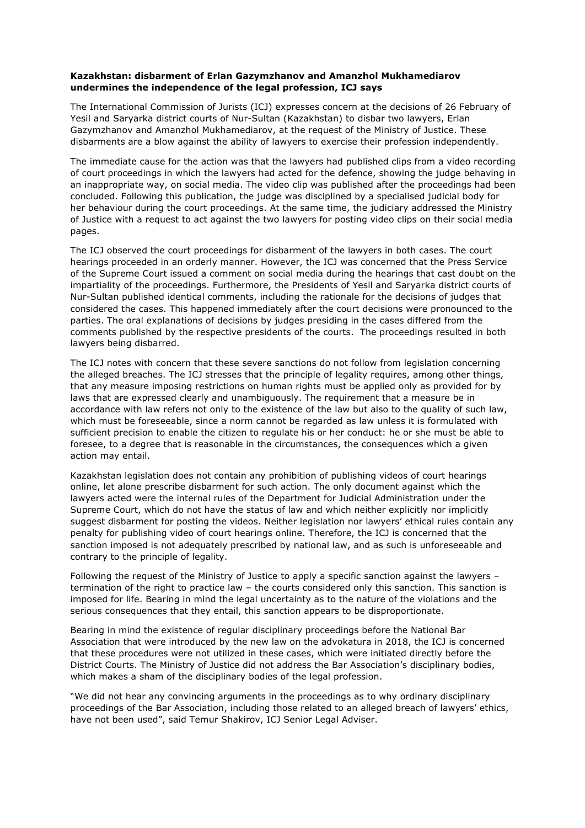## **Kazakhstan: disbarment of Erlan Gazymzhanov and Amanzhol Mukhamediarov undermines the independence of the legal profession, ICJ says**

The International Commission of Jurists (ICJ) expresses concern at the decisions of 26 February of Yesil and Saryarka district courts of Nur-Sultan (Kazakhstan) to disbar two lawyers, Erlan Gazymzhanov and Amanzhol Mukhamediarov, at the request of the Ministry of Justice. These disbarments are a blow against the ability of lawyers to exercise their profession independently.

The immediate cause for the action was that the lawyers had published clips from a video recording of court proceedings in which the lawyers had acted for the defence, showing the judge behaving in an inappropriate way, on social media. The video clip was published after the proceedings had been concluded. Following this publication, the judge was disciplined by a specialised judicial body for her behaviour during the court proceedings. At the same time, the judiciary addressed the Ministry of Justice with a request to act against the two lawyers for posting video clips on their social media pages.

The ICJ observed the court proceedings for disbarment of the lawyers in both cases. The court hearings proceeded in an orderly manner. However, the ICJ was concerned that the Press Service of the Supreme Court issued a comment on social media during the hearings that cast doubt on the impartiality of the proceedings. Furthermore, the Presidents of Yesil and Saryarka district courts of Nur-Sultan published identical comments, including the rationale for the decisions of judges that considered the cases. This happened immediately after the court decisions were pronounced to the parties. The oral explanations of decisions by judges presiding in the cases differed from the comments published by the respective presidents of the courts. The proceedings resulted in both lawyers being disbarred.

The ICJ notes with concern that these severe sanctions do not follow from legislation concerning the alleged breaches. The ICJ stresses that the principle of legality requires, among other things, that any measure imposing restrictions on human rights must be applied only as provided for by laws that are expressed clearly and unambiguously. The requirement that a measure be in accordance with law refers not only to the existence of the law but also to the quality of such law, which must be foreseeable, since a norm cannot be regarded as law unless it is formulated with sufficient precision to enable the citizen to regulate his or her conduct: he or she must be able to foresee, to a degree that is reasonable in the circumstances, the consequences which a given action may entail.

Kazakhstan legislation does not contain any prohibition of publishing videos of court hearings online, let alone prescribe disbarment for such action. The only document against which the lawyers acted were the internal rules of the Department for Judicial Administration under the Supreme Court, which do not have the status of law and which neither explicitly nor implicitly suggest disbarment for posting the videos. Neither legislation nor lawyers' ethical rules contain any penalty for publishing video of court hearings online. Therefore, the ICJ is concerned that the sanction imposed is not adequately prescribed by national law, and as such is unforeseeable and contrary to the principle of legality.

Following the request of the Ministry of Justice to apply a specific sanction against the lawyers – termination of the right to practice law – the courts considered only this sanction. This sanction is imposed for life. Bearing in mind the legal uncertainty as to the nature of the violations and the serious consequences that they entail, this sanction appears to be disproportionate.

Bearing in mind the existence of regular disciplinary proceedings before the National Bar Association that were introduced by the new law on the advokatura in 2018, the ICJ is concerned that these procedures were not utilized in these cases, which were initiated directly before the District Courts. The Ministry of Justice did not address the Bar Association's disciplinary bodies, which makes a sham of the disciplinary bodies of the legal profession.

"We did not hear any convincing arguments in the proceedings as to why ordinary disciplinary proceedings of the Bar Association, including those related to an alleged breach of lawyers' ethics, have not been used", said Temur Shakirov, ICJ Senior Legal Adviser.